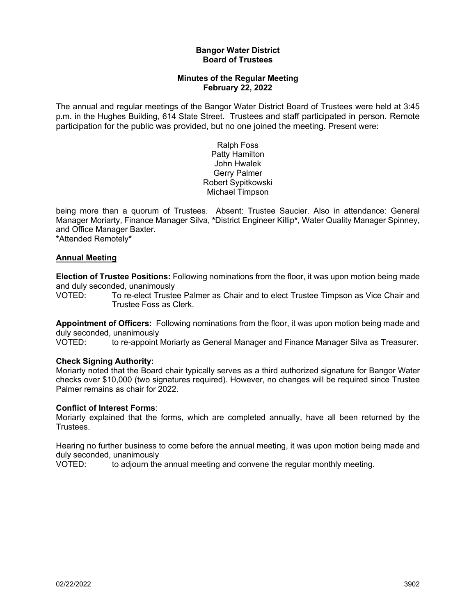### **Bangor Water District Board of Trustees**

# **Minutes of the Regular Meeting February 22, 2022**

The annual and regular meetings of the Bangor Water District Board of Trustees were held at 3:45 p.m. in the Hughes Building, 614 State Street. Trustees and staff participated in person. Remote participation for the public was provided, but no one joined the meeting. Present were:

> Ralph Foss Patty Hamilton John Hwalek Gerry Palmer Robert Sypitkowski Michael Timpson

being more than a quorum of Trustees. Absent: Trustee Saucier. Also in attendance: General Manager Moriarty, Finance Manager Silva, **\***District Engineer Killip**\***, Water Quality Manager Spinney, and Office Manager Baxter.

**\***Attended Remotely**\***

### **Annual Meeting**

**Election of Trustee Positions:** Following nominations from the floor, it was upon motion being made and duly seconded, unanimously<br>VOTED: To re-elect Truste

To re-elect Trustee Palmer as Chair and to elect Trustee Timpson as Vice Chair and Trustee Foss as Clerk.

**Appointment of Officers:** Following nominations from the floor, it was upon motion being made and duly seconded, unanimously

VOTED: to re-appoint Moriarty as General Manager and Finance Manager Silva as Treasurer.

# **Check Signing Authority:**

Moriarty noted that the Board chair typically serves as a third authorized signature for Bangor Water checks over \$10,000 (two signatures required). However, no changes will be required since Trustee Palmer remains as chair for 2022.

# **Conflict of Interest Forms**:

Moriarty explained that the forms, which are completed annually, have all been returned by the Trustees.

Hearing no further business to come before the annual meeting, it was upon motion being made and duly seconded, unanimously

VOTED: to adjourn the annual meeting and convene the regular monthly meeting.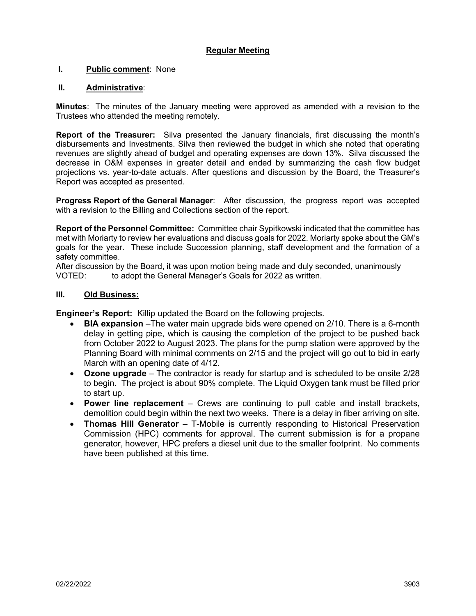# **Regular Meeting**

# **I. Public comment**: None

## **II. Administrative**:

**Minutes**: The minutes of the January meeting were approved as amended with a revision to the Trustees who attended the meeting remotely.

**Report of the Treasurer:** Silva presented the January financials, first discussing the month's disbursements and Investments. Silva then reviewed the budget in which she noted that operating revenues are slightly ahead of budget and operating expenses are down 13%. Silva discussed the decrease in O&M expenses in greater detail and ended by summarizing the cash flow budget projections vs. year-to-date actuals. After questions and discussion by the Board, the Treasurer's Report was accepted as presented.

**Progress Report of the General Manager**: After discussion, the progress report was accepted with a revision to the Billing and Collections section of the report.

**Report of the Personnel Committee:** Committee chair Sypitkowski indicated that the committee has met with Moriarty to review her evaluations and discuss goals for 2022. Moriarty spoke about the GM's goals for the year. These include Succession planning, staff development and the formation of a safety committee.

After discussion by the Board, it was upon motion being made and duly seconded, unanimously VOTED: to adopt the General Manager's Goals for 2022 as written.

## **III. Old Business:**

**Engineer's Report:** Killip updated the Board on the following projects.

- **BIA expansion** –The water main upgrade bids were opened on 2/10. There is a 6-month delay in getting pipe, which is causing the completion of the project to be pushed back from October 2022 to August 2023. The plans for the pump station were approved by the Planning Board with minimal comments on 2/15 and the project will go out to bid in early March with an opening date of 4/12.
- **Ozone upgrade** The contractor is ready for startup and is scheduled to be onsite 2/28 to begin. The project is about 90% complete. The Liquid Oxygen tank must be filled prior to start up.
- **Power line replacement** Crews are continuing to pull cable and install brackets, demolition could begin within the next two weeks. There is a delay in fiber arriving on site.
- **Thomas Hill Generator** T-Mobile is currently responding to Historical Preservation Commission (HPC) comments for approval. The current submission is for a propane generator, however, HPC prefers a diesel unit due to the smaller footprint. No comments have been published at this time.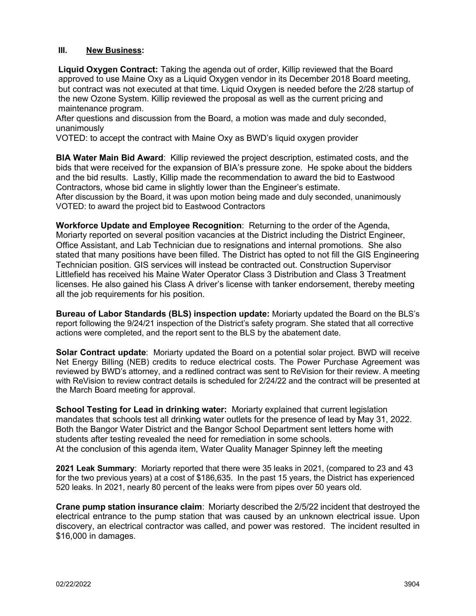### **III. New Business:**

**Liquid Oxygen Contract:** Taking the agenda out of order, Killip reviewed that the Board approved to use Maine Oxy as a Liquid Oxygen vendor in its December 2018 Board meeting, but contract was not executed at that time. Liquid Oxygen is needed before the 2/28 startup of the new Ozone System. Killip reviewed the proposal as well as the current pricing and maintenance program.

After questions and discussion from the Board, a motion was made and duly seconded, unanimously

VOTED: to accept the contract with Maine Oxy as BWD's liquid oxygen provider

**BIA Water Main Bid Award**: Killip reviewed the project description, estimated costs, and the bids that were received for the expansion of BIA's pressure zone. He spoke about the bidders and the bid results. Lastly, Killip made the recommendation to award the bid to Eastwood Contractors, whose bid came in slightly lower than the Engineer's estimate. After discussion by the Board, it was upon motion being made and duly seconded, unanimously

VOTED: to award the project bid to Eastwood Contractors

**Workforce Update and Employee Recognition**: Returning to the order of the Agenda, Moriarty reported on several position vacancies at the District including the District Engineer, Office Assistant, and Lab Technician due to resignations and internal promotions. She also stated that many positions have been filled. The District has opted to not fill the GIS Engineering Technician position. GIS services will instead be contracted out. Construction Supervisor Littlefield has received his Maine Water Operator Class 3 Distribution and Class 3 Treatment licenses. He also gained his Class A driver's license with tanker endorsement, thereby meeting all the job requirements for his position.

**Bureau of Labor Standards (BLS) inspection update:** Moriarty updated the Board on the BLS's report following the 9/24/21 inspection of the District's safety program. She stated that all corrective actions were completed, and the report sent to the BLS by the abatement date.

**Solar Contract update**: Moriarty updated the Board on a potential solar project. BWD will receive Net Energy Billing (NEB) credits to reduce electrical costs. The Power Purchase Agreement was reviewed by BWD's attorney, and a redlined contract was sent to ReVision for their review. A meeting with ReVision to review contract details is scheduled for 2/24/22 and the contract will be presented at the March Board meeting for approval.

**School Testing for Lead in drinking water:** Moriarty explained that current legislation mandates that schools test all drinking water outlets for the presence of lead by May 31, 2022. Both the Bangor Water District and the Bangor School Department sent letters home with students after testing revealed the need for remediation in some schools. At the conclusion of this agenda item, Water Quality Manager Spinney left the meeting

**2021 Leak Summary**: Moriarty reported that there were 35 leaks in 2021, (compared to 23 and 43 for the two previous years) at a cost of \$186,635. In the past 15 years, the District has experienced 520 leaks. In 2021, nearly 80 percent of the leaks were from pipes over 50 years old.

**Crane pump station insurance claim**: Moriarty described the 2/5/22 incident that destroyed the electrical entrance to the pump station that was caused by an unknown electrical issue. Upon discovery, an electrical contractor was called, and power was restored. The incident resulted in \$16,000 in damages.